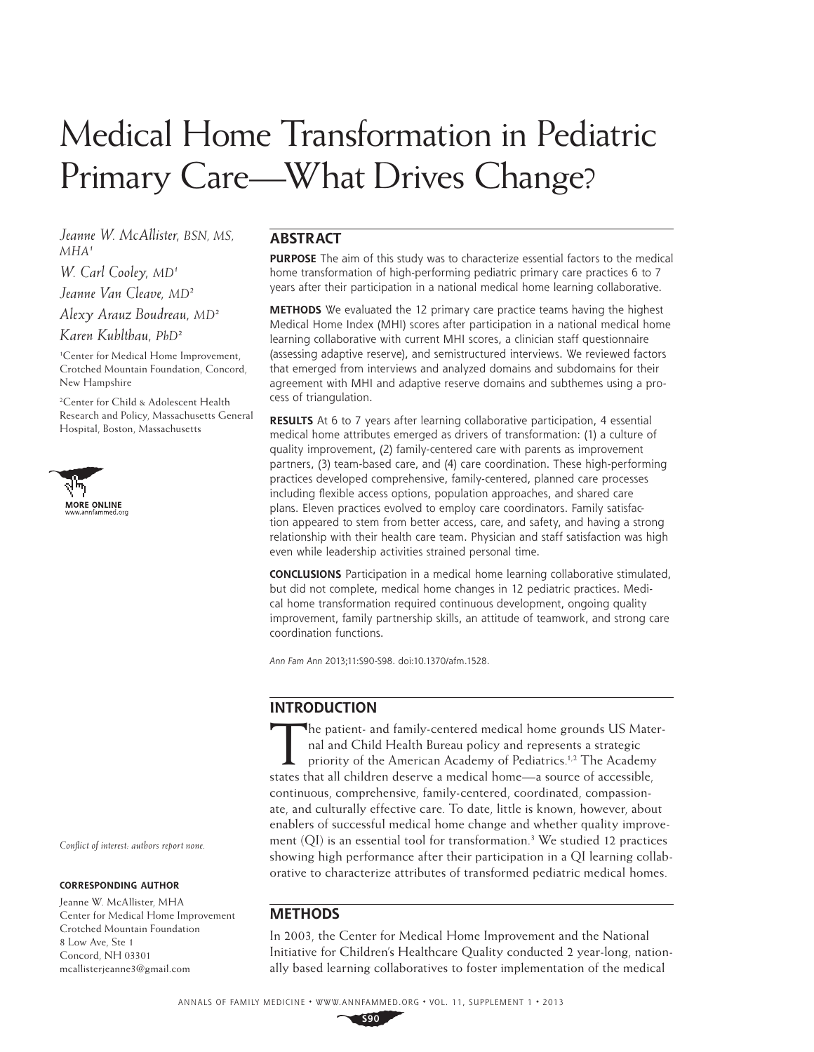# Medical Home Transformation in Pediatric Primary Care—What Drives Change?

*Jeanne W. McAllister, BSN, MS,*   $MHA<sup>1</sup>$ 

*W. Carl Cooley, MD1 Jeanne Van Cleave, MD2*

*Alexy Arauz Boudreau, MD2*

*Karen Kuhlthau, PhD2* 

1 Center for Medical Home Improvement, Crotched Mountain Foundation, Concord, New Hampshire

2 Center for Child & Adolescent Health Research and Policy, Massachusetts General Hospital, Boston, Massachusetts



## **ABSTRACT**

**PURPOSE** The aim of this study was to characterize essential factors to the medical home transformation of high-performing pediatric primary care practices 6 to 7 years after their participation in a national medical home learning collaborative.

**METHODS** We evaluated the 12 primary care practice teams having the highest Medical Home Index (MHI) scores after participation in a national medical home learning collaborative with current MHI scores, a clinician staff questionnaire (assessing adaptive reserve), and semistructured interviews. We reviewed factors that emerged from interviews and analyzed domains and subdomains for their agreement with MHI and adaptive reserve domains and subthemes using a process of triangulation.

**RESULTS** At 6 to 7 years after learning collaborative participation, 4 essential medical home attributes emerged as drivers of transformation: (1) a culture of quality improvement, (2) family-centered care with parents as improvement partners, (3) team-based care, and (4) care coordination. These high-performing practices developed comprehensive, family-centered, planned care processes including flexible access options, population approaches, and shared care plans. Eleven practices evolved to employ care coordinators. Family satisfaction appeared to stem from better access, care, and safety, and having a strong relationship with their health care team. Physician and staff satisfaction was high even while leadership activities strained personal time.

**CONCLUSIONS** Participation in a medical home learning collaborative stimulated, but did not complete, medical home changes in 12 pediatric practices. Medical home transformation required continuous development, ongoing quality improvement, family partnership skills, an attitude of teamwork, and strong care coordination functions.

Ann Fam Ann 2013;11:S90-S98. doi:10.1370/afm.1528.

## **INTRODUCTION**

The patient- and family-centered medical home grounds US Mater-<br>nal and Child Health Bureau policy and represents a strategic<br>priority of the American Academy of Pediatrics.<sup>1,2</sup> The Academy<br>states that all children deserv nal and Child Health Bureau policy and represents a strategic priority of the American Academy of Pediatrics.<sup>1,2</sup> The Academy states that all children deserve a medical home—a source of accessible, continuous, comprehensive, family-centered, coordinated, compassionate, and culturally effective care. To date, little is known, however, about enablers of successful medical home change and whether quality improvement (QI) is an essential tool for transformation.3 We studied 12 practices showing high performance after their participation in a QI learning collaborative to characterize attributes of transformed pediatric medical homes.

## **METHODS**

In 2003, the Center for Medical Home Improvement and the National Initiative for Children's Healthcare Quality conducted 2 year-long, nationally based learning collaboratives to foster implementation of the medical

*Conflict of interest: authors report none.* 

#### **CORRESPONDING AUTHOR**

Jeanne W. McAllister, MHA Center for Medical Home Improvement Crotched Mountain Foundation 8 Low Ave, Ste 1 Concord, NH 03301 mcallisterjeanne3@gmail.com

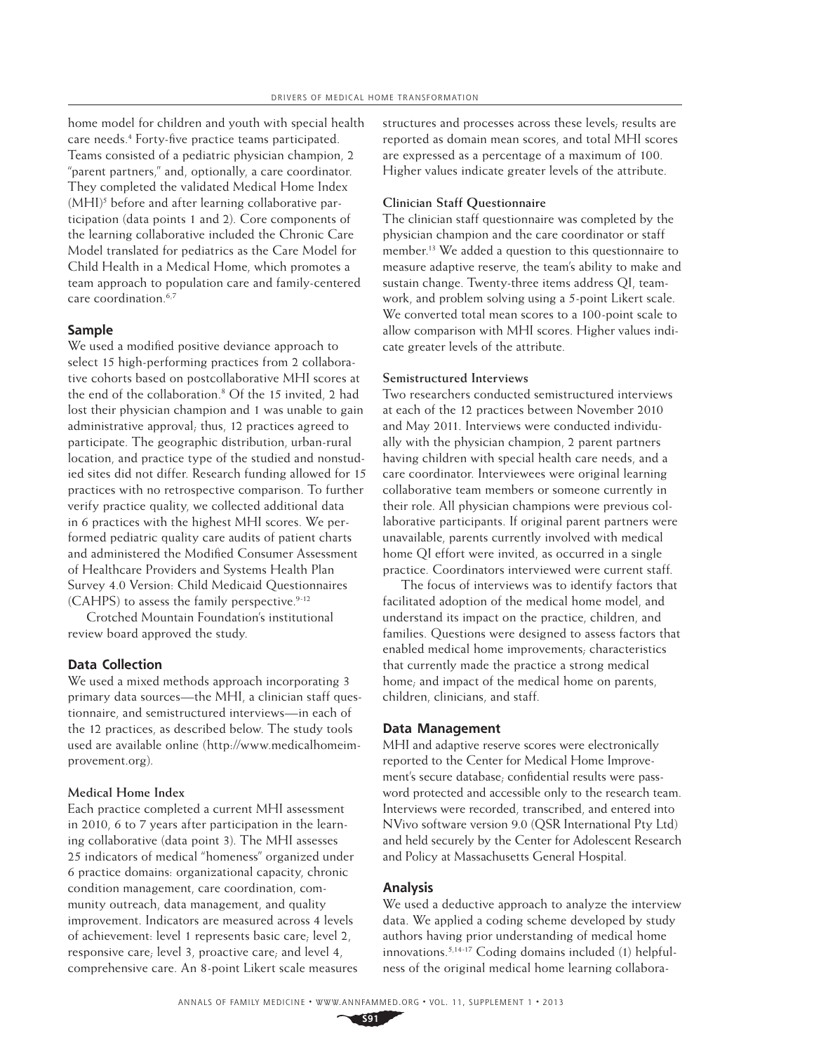home model for children and youth with special health care needs.<sup>4</sup> Forty-five practice teams participated. Teams consisted of a pediatric physician champion, 2 "parent partners," and, optionally, a care coordinator. They completed the validated Medical Home Index (MHI)<sup>5</sup> before and after learning collaborative participation (data points 1 and 2). Core components of the learning collaborative included the Chronic Care Model translated for pediatrics as the Care Model for Child Health in a Medical Home, which promotes a team approach to population care and family-centered care coordination.6,7

### **Sample**

We used a modified positive deviance approach to select 15 high-performing practices from 2 collaborative cohorts based on postcollaborative MHI scores at the end of the collaboration.8 Of the 15 invited, 2 had lost their physician champion and 1 was unable to gain administrative approval; thus, 12 practices agreed to participate. The geographic distribution, urban-rural location, and practice type of the studied and nonstudied sites did not differ. Research funding allowed for 15 practices with no retrospective comparison. To further verify practice quality, we collected additional data in 6 practices with the highest MHI scores. We performed pediatric quality care audits of patient charts and administered the Modified Consumer Assessment of Healthcare Providers and Systems Health Plan Survey 4.0 Version: Child Medicaid Questionnaires  $(CAHPS)$  to assess the family perspective.<sup>9-12</sup>

Crotched Mountain Foundation's institutional review board approved the study.

#### **Data Collection**

We used a mixed methods approach incorporating 3 primary data sources—the MHI, a clinician staff questionnaire, and semistructured interviews—in each of the 12 practices, as described below. The study tools used are available online (http://www.medicalhomeimprovement.org).

#### **Medical Home Index**

Each practice completed a current MHI assessment in 2010, 6 to 7 years after participation in the learning collaborative (data point 3). The MHI assesses 25 indicators of medical "homeness" organized under 6 practice domains: organizational capacity, chronic condition management, care coordination, community outreach, data management, and quality improvement. Indicators are measured across 4 levels of achievement: level 1 represents basic care; level 2, responsive care; level 3, proactive care; and level 4, comprehensive care. An 8-point Likert scale measures structures and processes across these levels; results are reported as domain mean scores, and total MHI scores are expressed as a percentage of a maximum of 100. Higher values indicate greater levels of the attribute.

#### **Clinician Staff Questionnaire**

The clinician staff questionnaire was completed by the physician champion and the care coordinator or staff member.13 We added a question to this questionnaire to measure adaptive reserve, the team's ability to make and sustain change. Twenty-three items address QI, teamwork, and problem solving using a 5-point Likert scale. We converted total mean scores to a 100-point scale to allow comparison with MHI scores. Higher values indicate greater levels of the attribute.

#### **Semistructured Interviews**

Two researchers conducted semistructured interviews at each of the 12 practices between November 2010 and May 2011. Interviews were conducted individually with the physician champion, 2 parent partners having children with special health care needs, and a care coordinator. Interviewees were original learning collaborative team members or someone currently in their role. All physician champions were previous collaborative participants. If original parent partners were unavailable, parents currently involved with medical home QI effort were invited, as occurred in a single practice. Coordinators interviewed were current staff.

The focus of interviews was to identify factors that facilitated adoption of the medical home model, and understand its impact on the practice, children, and families. Questions were designed to assess factors that enabled medical home improvements; characteristics that currently made the practice a strong medical home; and impact of the medical home on parents, children, clinicians, and staff.

#### **Data Management**

MHI and adaptive reserve scores were electronically reported to the Center for Medical Home Improvement's secure database; confidential results were password protected and accessible only to the research team. Interviews were recorded, transcribed, and entered into NVivo software version 9.0 (QSR International Pty Ltd) and held securely by the Center for Adolescent Research and Policy at Massachusetts General Hospital.

#### **Analysis**

We used a deductive approach to analyze the interview data. We applied a coding scheme developed by study authors having prior understanding of medical home innovations.5,14-17 Coding domains included (1) helpfulness of the original medical home learning collabora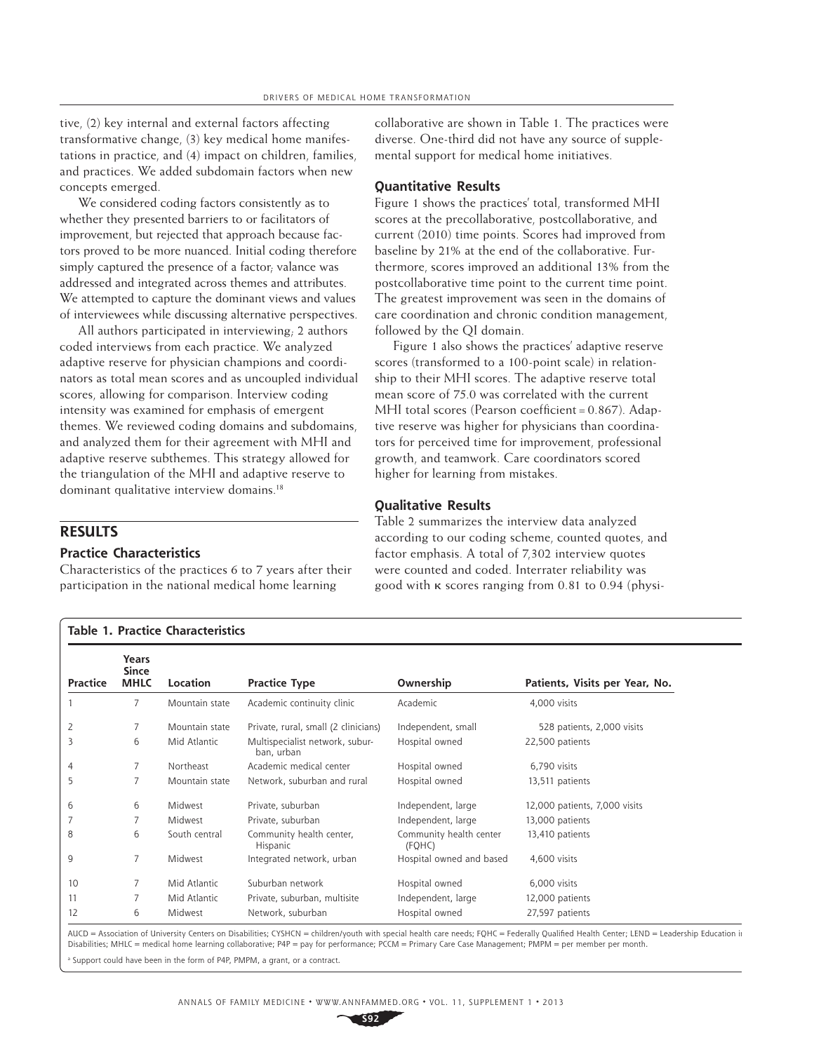tive, (2) key internal and external factors affecting transformative change, (3) key medical home manifestations in practice, and (4) impact on children, families, and practices. We added subdomain factors when new concepts emerged.

We considered coding factors consistently as to whether they presented barriers to or facilitators of improvement, but rejected that approach because factors proved to be more nuanced. Initial coding therefore simply captured the presence of a factor; valance was addressed and integrated across themes and attributes. We attempted to capture the dominant views and values of interviewees while discussing alternative perspectives.

All authors participated in interviewing; 2 authors coded interviews from each practice. We analyzed adaptive reserve for physician champions and coordinators as total mean scores and as uncoupled individual scores, allowing for comparison. Interview coding intensity was examined for emphasis of emergent themes. We reviewed coding domains and subdomains, and analyzed them for their agreement with MHI and adaptive reserve subthemes. This strategy allowed for the triangulation of the MHI and adaptive reserve to dominant qualitative interview domains.<sup>18</sup>

## **RESULTS**

### **Practice Characteristics**

Characteristics of the practices 6 to 7 years after their participation in the national medical home learning

collaborative are shown in Table 1. The practices were diverse. One-third did not have any source of supplemental support for medical home initiatives.

#### **Quantitative Results**

Figure 1 shows the practices' total, transformed MHI scores at the precollaborative, postcollaborative, and current (2010) time points. Scores had improved from baseline by 21% at the end of the collaborative. Furthermore, scores improved an additional 13% from the postcollaborative time point to the current time point. The greatest improvement was seen in the domains of care coordination and chronic condition management, followed by the QI domain.

Figure 1 also shows the practices' adaptive reserve scores (transformed to a 100-point scale) in relationship to their MHI scores. The adaptive reserve total mean score of 75.0 was correlated with the current MHI total scores (Pearson coefficient =  $0.867$ ). Adaptive reserve was higher for physicians than coordinators for perceived time for improvement, professional growth, and teamwork. Care coordinators scored higher for learning from mistakes.

#### **Qualitative Results**

Table 2 summarizes the interview data analyzed according to our coding scheme, counted quotes, and factor emphasis. A total of 7,302 interview quotes were counted and coded. Interrater reliability was good with κ scores ranging from 0.81 to 0.94 (physi-

| <b>Practice</b> | Years<br><b>Since</b><br><b>MHLC</b> | Location       | <b>Practice Type</b>                          | Ownership                         | Patients, Visits per Year, No. |
|-----------------|--------------------------------------|----------------|-----------------------------------------------|-----------------------------------|--------------------------------|
|                 | $\overline{7}$                       | Mountain state | Academic continuity clinic                    | Academic                          | 4,000 visits                   |
| 2               | $\overline{7}$                       | Mountain state | Private, rural, small (2 clinicians)          | Independent, small                | 528 patients, 2,000 visits     |
| 3               | 6                                    | Mid Atlantic   | Multispecialist network, subur-<br>ban, urban | Hospital owned                    | 22,500 patients                |
| 4               | $\overline{7}$                       | Northeast      | Academic medical center                       | Hospital owned                    | 6,790 visits                   |
| 5               | $\overline{7}$                       | Mountain state | Network, suburban and rural                   | Hospital owned                    | 13,511 patients                |
| 6               | 6                                    | Midwest        | Private, suburban                             | Independent, large                | 12,000 patients, 7,000 visits  |
| 7               | 7                                    | Midwest        | Private, suburban                             | Independent, large                | 13,000 patients                |
| 8               | 6                                    | South central  | Community health center,<br>Hispanic          | Community health center<br>(FQHC) | 13,410 patients                |
| 9               | $\overline{7}$                       | Midwest        | Integrated network, urban                     | Hospital owned and based          | 4,600 visits                   |
| 10              | 7                                    | Mid Atlantic   | Suburban network                              | Hospital owned                    | 6,000 visits                   |
| 11              | 7                                    | Mid Atlantic   | Private, suburban, multisite                  | Independent, large                | 12,000 patients                |
| 12              | 6                                    | Midwest        | Network, suburban                             | Hospital owned                    | 27,597 patients                |

AUCD = Association of University Centers on Disabilities; CYSHCN = children/youth with special health care needs; FQHC = Federally Qualified Health Center; LEND = Leadership Education in Disabilities; MHLC = medical home learning collaborative; P4P = pay for performance; PCCM = Primary Care Case Management; PMPM = per member per month.

a Support could have been in the form of P4P, PMPM, a grant, or a contract.

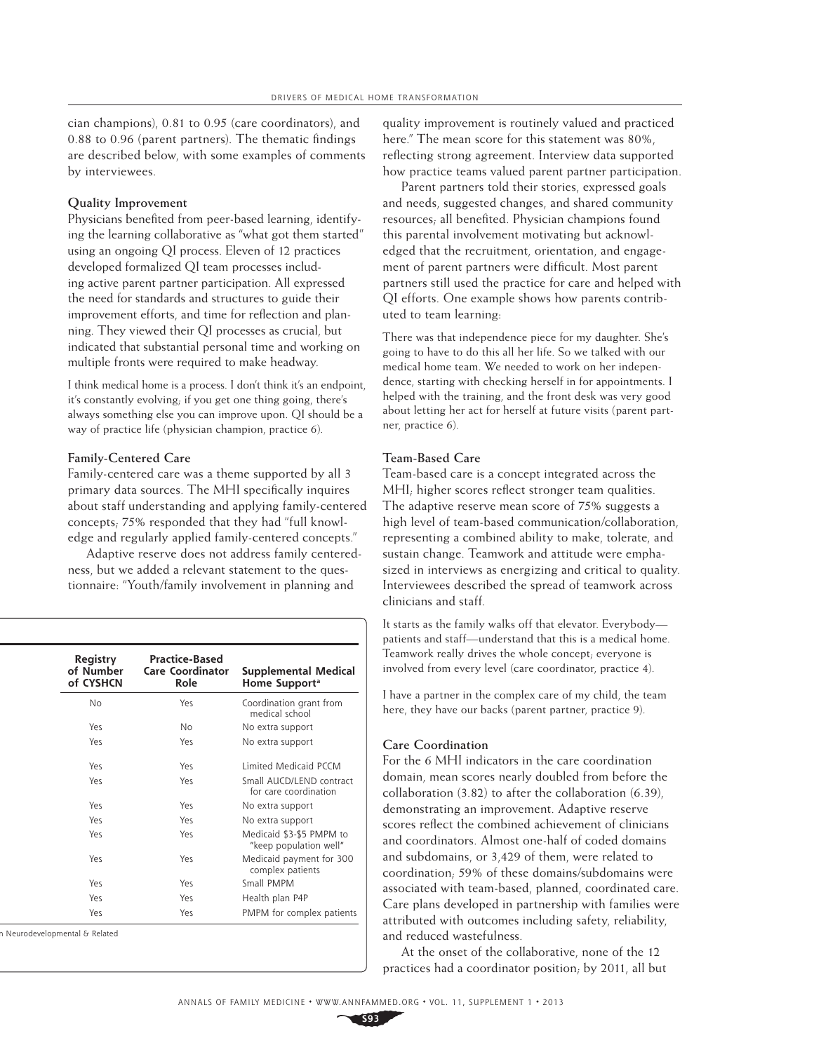cian champions), 0.81 to 0.95 (care coordinators), and  $0.88$  to  $0.96$  (parent partners). The thematic findings are described below, with some examples of comments by interviewees.

#### **Quality Improvement**

Physicians benefited from peer-based learning, identifying the learning collaborative as "what got them started" using an ongoing QI process. Eleven of 12 practices developed formalized QI team processes including active parent partner participation. All expressed the need for standards and structures to guide their improvement efforts, and time for reflection and planning. They viewed their QI processes as crucial, but indicated that substantial personal time and working on multiple fronts were required to make headway.

I think medical home is a process. I don't think it's an endpoint, it's constantly evolving; if you get one thing going, there's always something else you can improve upon. QI should be a way of practice life (physician champion, practice 6).

#### **Family-Centered Care**

Family-centered care was a theme supported by all 3 primary data sources. The MHI specifically inquires about staff understanding and applying family-centered concepts; 75% responded that they had "full knowledge and regularly applied family-centered concepts."

Adaptive reserve does not address family centeredness, but we added a relevant statement to the questionnaire: "Youth/family involvement in planning and

| <b>Registry</b><br>of Number<br>of CYSHCN | <b>Practice-Based</b><br><b>Care Coordinator</b><br>Role | Supplemental Medical<br>Home Support <sup>a</sup>  |
|-------------------------------------------|----------------------------------------------------------|----------------------------------------------------|
| No                                        | Yes                                                      | Coordination grant from<br>medical school          |
| Yes                                       | No.                                                      | No extra support                                   |
| Yes                                       | Yes                                                      | No extra support                                   |
| Yes                                       | Yes.                                                     | Limited Medicaid PCCM                              |
| Yes                                       | Yes                                                      | Small AUCD/LEND contract<br>for care coordination  |
| Yes                                       | Yes                                                      | No extra support                                   |
| Yes                                       | Yes                                                      | No extra support                                   |
| Yes                                       | Yes                                                      | Medicaid \$3-\$5 PMPM to<br>"keep population well" |
| Yes                                       | Yes.                                                     | Medicaid payment for 300<br>complex patients       |
| Yes                                       | Yes.                                                     | Small PMPM                                         |
| Yes                                       | Yes                                                      | Health plan P4P                                    |
| Yes                                       | Yes                                                      | PMPM for complex patients                          |

n Neurodevelopmental & Related

quality improvement is routinely valued and practiced here." The mean score for this statement was 80%, reflecting strong agreement. Interview data supported how practice teams valued parent partner participation.

Parent partners told their stories, expressed goals and needs, suggested changes, and shared community resources; all benefited. Physician champions found this parental involvement motivating but acknowledged that the recruitment, orientation, and engagement of parent partners were difficult. Most parent partners still used the practice for care and helped with QI efforts. One example shows how parents contributed to team learning:

There was that independence piece for my daughter. She's going to have to do this all her life. So we talked with our medical home team. We needed to work on her independence, starting with checking herself in for appointments. I helped with the training, and the front desk was very good about letting her act for herself at future visits (parent partner, practice 6).

#### **Team-Based Care**

Team-based care is a concept integrated across the MHI; higher scores reflect stronger team qualities. The adaptive reserve mean score of 75% suggests a high level of team-based communication/collaboration, representing a combined ability to make, tolerate, and sustain change. Teamwork and attitude were emphasized in interviews as energizing and critical to quality. Interviewees described the spread of teamwork across clinicians and staff.

It starts as the family walks off that elevator. Everybody patients and staff—understand that this is a medical home. Teamwork really drives the whole concept; everyone is involved from every level (care coordinator, practice 4).

I have a partner in the complex care of my child, the team here, they have our backs (parent partner, practice 9).

#### **Care Coordination**

For the 6 MHI indicators in the care coordination domain, mean scores nearly doubled from before the collaboration (3.82) to after the collaboration (6.39), demonstrating an improvement. Adaptive reserve scores reflect the combined achievement of clinicians and coordinators. Almost one-half of coded domains and subdomains, or 3,429 of them, were related to coordination; 59% of these domains/subdomains were associated with team-based, planned, coordinated care. Care plans developed in partnership with families were attributed with outcomes including safety, reliability, and reduced wastefulness.

At the onset of the collaborative, none of the 12 practices had a coordinator position; by 2011, all but

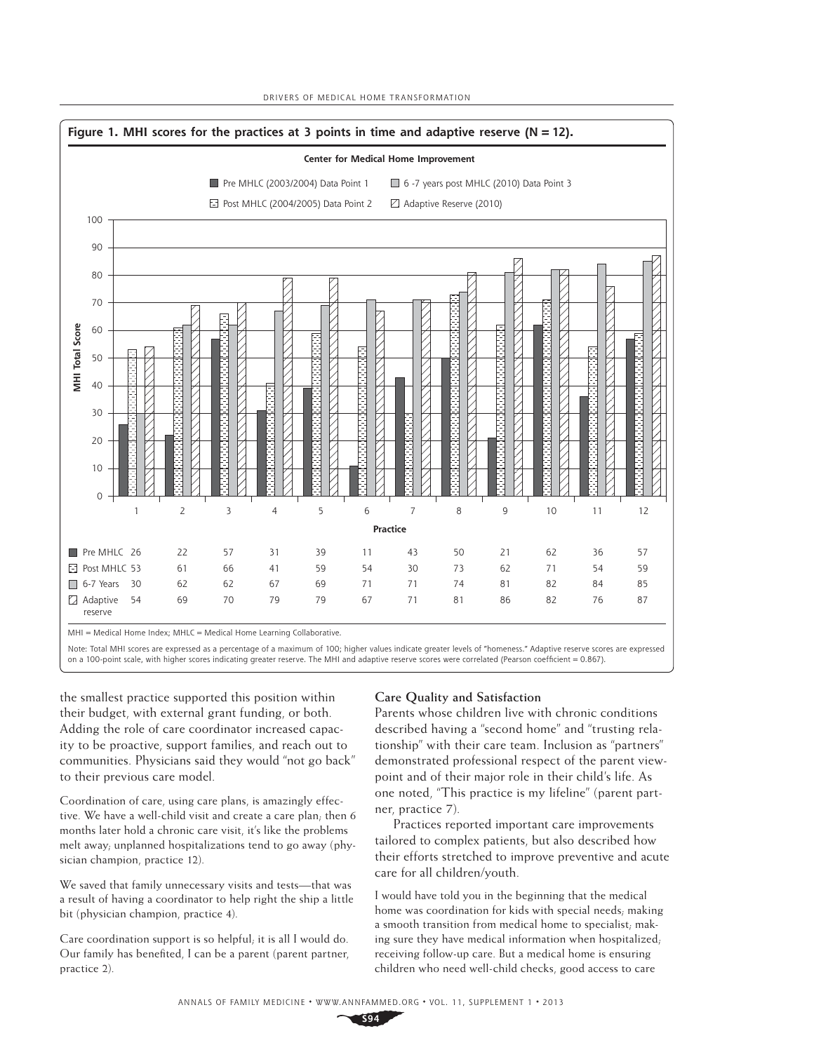

 $MH = Medical Home Index: MHIC = Medical Home Learning Collaborative.$ 

Note: Total MHI scores are expressed as a percentage of a maximum of 100; higher values indicate greater levels of "homeness." Adaptive reserve scores are expressed on a 100-point scale, with higher scores indicating greater reserve. The MHI and adaptive reserve scores were correlated (Pearson coefficient = 0.867).

the smallest practice supported this position within their budget, with external grant funding, or both. Adding the role of care coordinator increased capacity to be proactive, support families, and reach out to communities. Physicians said they would "not go back" to their previous care model.

Coordination of care, using care plans, is amazingly effective. We have a well-child visit and create a care plan; then 6 months later hold a chronic care visit, it's like the problems melt away; unplanned hospitalizations tend to go away (physician champion, practice 12).

We saved that family unnecessary visits and tests—that was a result of having a coordinator to help right the ship a little bit (physician champion, practice 4).

Care coordination support is so helpful; it is all I would do. Our family has benefited, I can be a parent (parent partner, practice 2).

#### **Care Quality and Satisfaction**

Parents whose children live with chronic conditions described having a "second home" and "trusting relationship" with their care team. Inclusion as "partners" demonstrated professional respect of the parent viewpoint and of their major role in their child's life. As one noted, "This practice is my lifeline" (parent partner, practice 7).

Practices reported important care improvements tailored to complex patients, but also described how their efforts stretched to improve preventive and acute care for all children/youth.

I would have told you in the beginning that the medical home was coordination for kids with special needs; making a smooth transition from medical home to specialist; making sure they have medical information when hospitalized; receiving follow-up care. But a medical home is ensuring children who need well-child checks, good access to care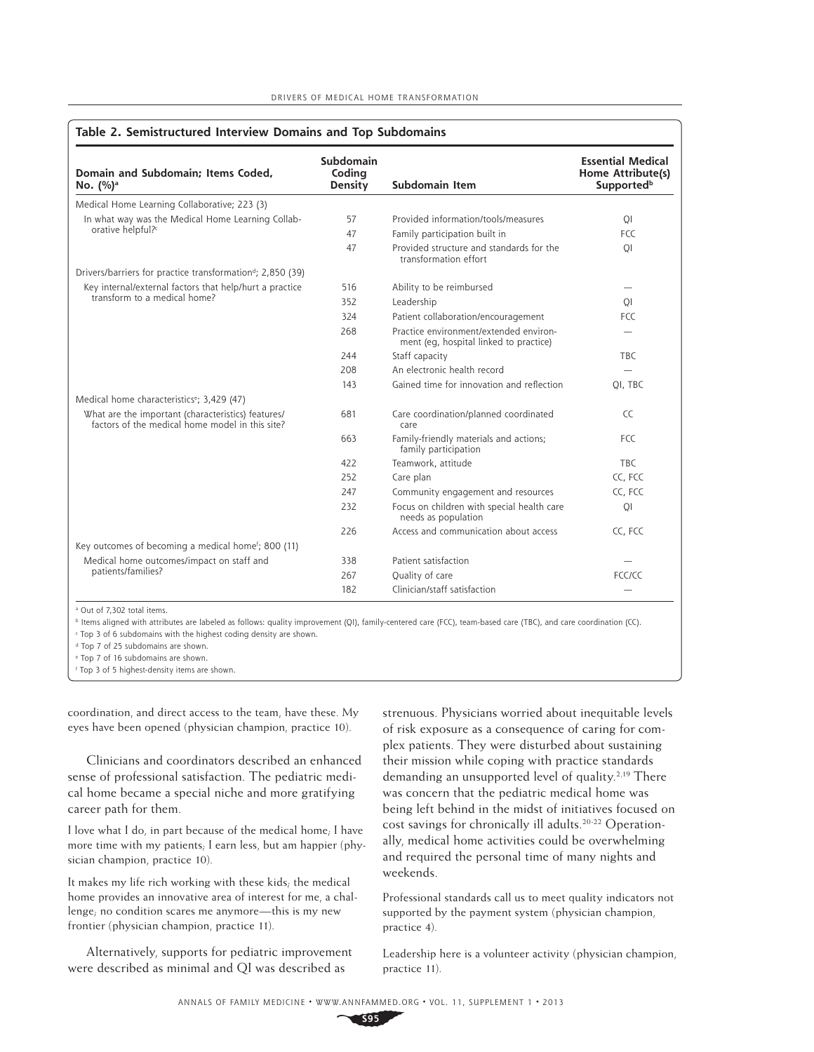| Domain and Subdomain: Items Coded,<br>No. (%) <sup>a</sup>                                            | Subdomain<br>Coding<br>Density | Subdomain Item                                                                   | <b>Essential Medical</b><br>Home Attribute(s)<br>Supported <sup>b</sup> |
|-------------------------------------------------------------------------------------------------------|--------------------------------|----------------------------------------------------------------------------------|-------------------------------------------------------------------------|
| Medical Home Learning Collaborative; 223 (3)                                                          |                                |                                                                                  |                                                                         |
| In what way was the Medical Home Learning Collab-                                                     | 57                             | Provided information/tools/measures                                              | QI                                                                      |
| orative helpful? <sup>c</sup>                                                                         | 47                             | Family participation built in                                                    | FCC                                                                     |
|                                                                                                       | 47                             | Provided structure and standards for the<br>transformation effort                | QI                                                                      |
| Drivers/barriers for practice transformation <sup>d</sup> ; 2,850 (39)                                |                                |                                                                                  |                                                                         |
| Key internal/external factors that help/hurt a practice                                               | 516                            | Ability to be reimbursed                                                         |                                                                         |
| transform to a medical home?                                                                          | 352                            | Leadership                                                                       | QI                                                                      |
|                                                                                                       | 324                            | Patient collaboration/encouragement                                              | <b>FCC</b>                                                              |
|                                                                                                       | 268                            | Practice environment/extended environ-<br>ment (eg, hospital linked to practice) |                                                                         |
|                                                                                                       | 244                            | Staff capacity                                                                   | <b>TBC</b>                                                              |
|                                                                                                       | 208                            | An electronic health record                                                      | $\equiv$                                                                |
|                                                                                                       | 143                            | Gained time for innovation and reflection                                        | OI, TBC                                                                 |
| Medical home characteristics <sup>e</sup> ; 3,429 (47)                                                |                                |                                                                                  |                                                                         |
| What are the important (characteristics) features/<br>factors of the medical home model in this site? | 681                            | Care coordination/planned coordinated<br>care                                    | CC                                                                      |
|                                                                                                       | 663                            | Family-friendly materials and actions;<br>family participation                   | FCC                                                                     |
|                                                                                                       | 422                            | Teamwork, attitude                                                               | <b>TBC</b>                                                              |
|                                                                                                       | 252                            | Care plan                                                                        | CC. FCC                                                                 |
|                                                                                                       | 247                            | Community engagement and resources                                               | CC. FCC                                                                 |
|                                                                                                       | 232                            | Focus on children with special health care<br>needs as population                | QI                                                                      |
|                                                                                                       | 226                            | Access and communication about access                                            | CC, FCC                                                                 |
| Key outcomes of becoming a medical home <sup>f</sup> ; 800 (11)                                       |                                |                                                                                  |                                                                         |
| Medical home outcomes/impact on staff and                                                             | 338                            | Patient satisfaction                                                             |                                                                         |
| patients/families?                                                                                    | 267                            | Quality of care                                                                  | FCC/CC                                                                  |
|                                                                                                       | 182                            | Clinician/staff satisfaction                                                     |                                                                         |

Out of 7,302 total items.

b Items aligned with attributes are labeled as follows: quality improvement (QI), family-centered care (FCC), team-based care (TBC), and care coordination (CC). Top 3 of 6 subdomains with the highest coding density are shown.

<sup>d</sup> Top 7 of 25 subdomains are shown.

e Top 7 of 16 subdomains are shown.

f Top 3 of 5 highest-density items are shown.

coordination, and direct access to the team, have these. My eyes have been opened (physician champion, practice 10).

Clinicians and coordinators described an enhanced sense of professional satisfaction. The pediatric medical home became a special niche and more gratifying career path for them.

I love what I do, in part because of the medical home; I have more time with my patients; I earn less, but am happier (physician champion, practice 10).

It makes my life rich working with these kids; the medical home provides an innovative area of interest for me, a challenge; no condition scares me anymore—this is my new frontier (physician champion, practice 11).

Alternatively, supports for pediatric improvement were described as minimal and QI was described as

strenuous. Physicians worried about inequitable levels of risk exposure as a consequence of caring for complex patients. They were disturbed about sustaining their mission while coping with practice standards demanding an unsupported level of quality.<sup>2,19</sup> There was concern that the pediatric medical home was being left behind in the midst of initiatives focused on cost savings for chronically ill adults.<sup>20-22</sup> Operationally, medical home activities could be overwhelming and required the personal time of many nights and weekends.

Professional standards call us to meet quality indicators not supported by the payment system (physician champion, practice 4).

Leadership here is a volunteer activity (physician champion, practice 11).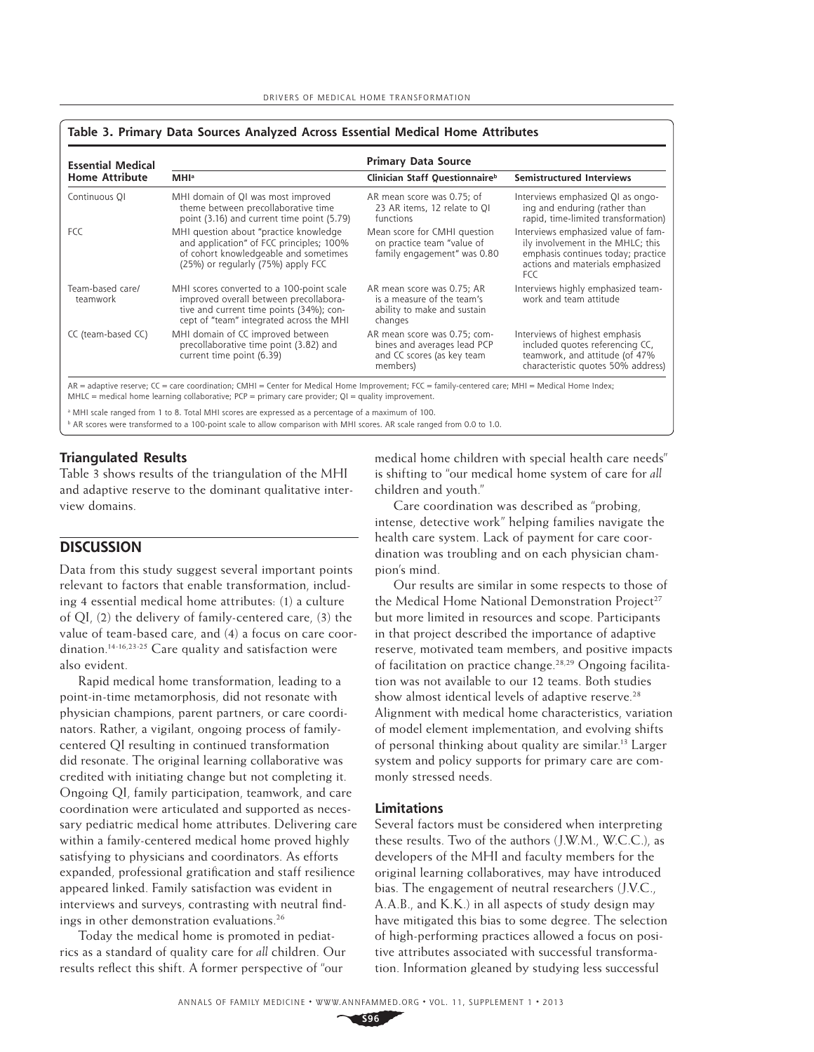#### **Table 3. Primary Data Sources Analyzed Across Essential Medical Home Attributes**

| <b>Essential Medical</b>     | <b>Primary Data Source</b>                                                                                                                                                  |                                                                                                       |                                                                                                                                                                  |  |  |
|------------------------------|-----------------------------------------------------------------------------------------------------------------------------------------------------------------------------|-------------------------------------------------------------------------------------------------------|------------------------------------------------------------------------------------------------------------------------------------------------------------------|--|--|
| <b>Home Attribute</b>        | <b>MHI</b> <sup>a</sup>                                                                                                                                                     | Clinician Staff Questionnaire <sup>b</sup>                                                            | <b>Semistructured Interviews</b>                                                                                                                                 |  |  |
| Continuous QI                | MHI domain of QI was most improved<br>theme between precollaborative time<br>point (3.16) and current time point (5.79)                                                     | AR mean score was 0.75; of<br>23 AR items, 12 relate to QI<br>functions                               | Interviews emphasized QI as ongo-<br>ing and enduring (rather than<br>rapid, time-limited transformation)                                                        |  |  |
| <b>FCC</b>                   | MHI question about "practice knowledge<br>and application" of FCC principles; 100%<br>of cohort knowledgeable and sometimes<br>(25%) or regularly (75%) apply FCC           | Mean score for CMHI question<br>on practice team "value of<br>family engagement" was 0.80             | Interviews emphasized value of fam-<br>ily involvement in the MHLC; this<br>emphasis continues today; practice<br>actions and materials emphasized<br><b>FCC</b> |  |  |
| Team-based care/<br>teamwork | MHI scores converted to a 100-point scale<br>improved overall between precollabora-<br>tive and current time points (34%); con-<br>cept of "team" integrated across the MHI | AR mean score was 0.75; AR<br>is a measure of the team's<br>ability to make and sustain<br>changes    | Interviews highly emphasized team-<br>work and team attitude                                                                                                     |  |  |
| CC (team-based CC)           | MHI domain of CC improved between<br>precollaborative time point (3.82) and<br>current time point (6.39)                                                                    | AR mean score was 0.75; com-<br>bines and averages lead PCP<br>and CC scores (as key team<br>members) | Interviews of highest emphasis<br>included quotes referencing CC,<br>teamwork, and attitude (of 47%<br>characteristic quotes 50% address)                        |  |  |

AR = adaptive reserve; CC = care coordination; CMHI = Center for Medical Home Improvement; FCC = family-centered care; MHI = Medical Home Index; MHLC = medical home learning collaborative;  $PCP =$  primary care provider;  $QI =$  quality improvement.

a MHI scale ranged from 1 to 8. Total MHI scores are expressed as a percentage of a maximum of 100.

b AR scores were transformed to a 100-point scale to allow comparison with MHI scores. AR scale ranged from 0.0 to 1.0.

#### **Triangulated Results**

Table 3 shows results of the triangulation of the MHI and adaptive reserve to the dominant qualitative interview domains.

## **DISCUSSION**

Data from this study suggest several important points relevant to factors that enable transformation, including 4 essential medical home attributes: (1) a culture of QI, (2) the delivery of family-centered care, (3) the value of team-based care, and (4) a focus on care coordination.14-16,23-25 Care quality and satisfaction were also evident.

Rapid medical home transformation, leading to a point-in-time metamorphosis, did not resonate with physician champions, parent partners, or care coordinators. Rather, a vigilant, ongoing process of familycentered QI resulting in continued transformation did resonate. The original learning collaborative was credited with initiating change but not completing it. Ongoing QI, family participation, teamwork, and care coordination were articulated and supported as necessary pediatric medical home attributes. Delivering care within a family-centered medical home proved highly satisfying to physicians and coordinators. As efforts expanded, professional gratification and staff resilience appeared linked. Family satisfaction was evident in interviews and surveys, contrasting with neutral findings in other demonstration evaluations.<sup>26</sup>

Today the medical home is promoted in pediatrics as a standard of quality care for *all* children. Our results reflect this shift. A former perspective of "our

medical home children with special health care needs" is shifting to "our medical home system of care for *all*  children and youth."

Care coordination was described as "probing, intense, detective work" helping families navigate the health care system. Lack of payment for care coordination was troubling and on each physician champion's mind.

Our results are similar in some respects to those of the Medical Home National Demonstration Project<sup>27</sup> but more limited in resources and scope. Participants in that project described the importance of adaptive reserve, motivated team members, and positive impacts of facilitation on practice change.<sup>28,29</sup> Ongoing facilitation was not available to our 12 teams. Both studies show almost identical levels of adaptive reserve.<sup>28</sup> Alignment with medical home characteristics, variation of model element implementation, and evolving shifts of personal thinking about quality are similar.13 Larger system and policy supports for primary care are commonly stressed needs.

#### **Limitations**

Several factors must be considered when interpreting these results. Two of the authors (J.W.M., W.C.C.), as developers of the MHI and faculty members for the original learning collaboratives, may have introduced bias. The engagement of neutral researchers (J.V.C., A.A.B., and K.K.) in all aspects of study design may have mitigated this bias to some degree. The selection of high-performing practices allowed a focus on positive attributes associated with successful transformation. Information gleaned by studying less successful

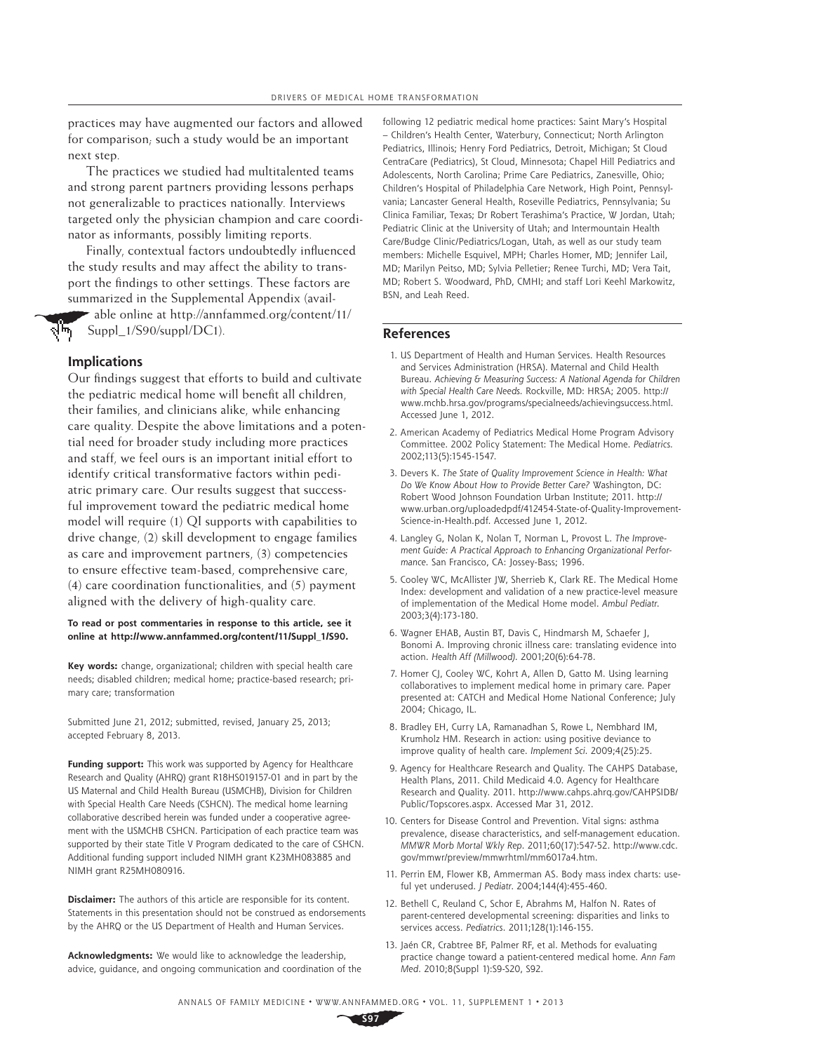practices may have augmented our factors and allowed for comparison; such a study would be an important next step.

The practices we studied had multitalented teams and strong parent partners providing lessons perhaps not generalizable to practices nationally. Interviews targeted only the physician champion and care coordinator as informants, possibly limiting reports.

Finally, contextual factors undoubtedly influenced the study results and may affect the ability to transport the findings to other settings. These factors are summarized in the Supplemental Appendix (avail-

able online at http://annfammed.org/content/11/ Suppl\_1/S90/suppl/DC1).

#### **Implications**

लेण

Our findings suggest that efforts to build and cultivate the pediatric medical home will benefit all children, their families, and clinicians alike, while enhancing care quality. Despite the above limitations and a potential need for broader study including more practices and staff, we feel ours is an important initial effort to identify critical transformative factors within pediatric primary care. Our results suggest that successful improvement toward the pediatric medical home model will require (1) QI supports with capabilities to drive change, (2) skill development to engage families as care and improvement partners, (3) competencies to ensure effective team-based, comprehensive care, (4) care coordination functionalities, and (5) payment aligned with the delivery of high-quality care.

#### **To read or post commentaries in response to this article, see it online at http://www.annfammed.org/content/11/Suppl\_1/S90.**

**Key words:** change, organizational; children with special health care needs; disabled children; medical home; practice-based research; primary care; transformation

Submitted June 21, 2012; submitted, revised, January 25, 2013; accepted February 8, 2013.

**Funding support:** This work was supported by Agency for Healthcare Research and Quality (AHRQ) grant R18HS019157-01 and in part by the US Maternal and Child Health Bureau (USMCHB), Division for Children with Special Health Care Needs (CSHCN). The medical home learning collaborative described herein was funded under a cooperative agreement with the USMCHB CSHCN. Participation of each practice team was supported by their state Title V Program dedicated to the care of CSHCN. Additional funding support included NIMH grant K23MH083885 and NIMH grant R25MH080916.

**Disclaimer:** The authors of this article are responsible for its content. Statements in this presentation should not be construed as endorsements by the AHRQ or the US Department of Health and Human Services.

**Acknowledgments:** We would like to acknowledge the leadership, advice, guidance, and ongoing communication and coordination of the following 12 pediatric medical home practices: Saint Mary's Hospital – Children's Health Center, Waterbury, Connecticut; North Arlington Pediatrics, Illinois; Henry Ford Pediatrics, Detroit, Michigan; St Cloud CentraCare (Pediatrics), St Cloud, Minnesota; Chapel Hill Pediatrics and Adolescents, North Carolina; Prime Care Pediatrics, Zanesville, Ohio; Children's Hospital of Philadelphia Care Network, High Point, Pennsylvania; Lancaster General Health, Roseville Pediatrics, Pennsylvania; Su Clinica Familiar, Texas; Dr Robert Terashima's Practice, W Jordan, Utah; Pediatric Clinic at the University of Utah; and Intermountain Health Care/Budge Clinic/Pediatrics/Logan, Utah, as well as our study team members: Michelle Esquivel, MPH; Charles Homer, MD; Jennifer Lail, MD; Marilyn Peitso, MD; Sylvia Pelletier; Renee Turchi, MD; Vera Tait, MD; Robert S. Woodward, PhD, CMHI; and staff Lori Keehl Markowitz, BSN, and Leah Reed.

#### **References**

- 1. US Department of Health and Human Services. Health Resources and Services Administration (HRSA). Maternal and Child Health Bureau. Achieving & Measuring Success: A National Agenda for Children with Special Health Care Needs. Rockville, MD: HRSA; 2005. http:// www.mchb.hrsa.gov/programs/specialneeds/achievingsuccess.html. Accessed June 1, 2012.
- 2. American Academy of Pediatrics Medical Home Program Advisory Committee. 2002 Policy Statement: The Medical Home. Pediatrics. 2002;113(5):1545-1547.
- 3. Devers K. The State of Quality Improvement Science in Health: What Do We Know About How to Provide Better Care? Washington, DC: Robert Wood Johnson Foundation Urban Institute; 2011. http:// www.urban.org/uploadedpdf/412454-State-of-Quality-Improvement-Science-in-Health.pdf. Accessed June 1, 2012.
- 4. Langley G, Nolan K, Nolan T, Norman L, Provost L. The Improvement Guide: A Practical Approach to Enhancing Organizational Performance. San Francisco, CA: Jossey-Bass; 1996.
- 5. Cooley WC, McAllister JW, Sherrieb K, Clark RE. The Medical Home Index: development and validation of a new practice-level measure of implementation of the Medical Home model. Ambul Pediatr. 2003;3(4):173-180.
- 6. Wagner EHAB, Austin BT, Davis C, Hindmarsh M, Schaefer J, Bonomi A. Improving chronic illness care: translating evidence into action. Health Aff (Millwood). 2001;20(6):64-78.
- 7. Homer CJ, Cooley WC, Kohrt A, Allen D, Gatto M. Using learning collaboratives to implement medical home in primary care. Paper presented at: CATCH and Medical Home National Conference; July 2004; Chicago, IL.
- 8. Bradley EH, Curry LA, Ramanadhan S, Rowe L, Nembhard IM, Krumholz HM. Research in action: using positive deviance to improve quality of health care. Implement Sci. 2009;4(25):25.
- 9. Agency for Healthcare Research and Quality. The CAHPS Database, Health Plans, 2011. Child Medicaid 4.0. Agency for Healthcare Research and Quality. 2011. http://www.cahps.ahrq.gov/CAHPSIDB/ Public/Topscores.aspx. Accessed Mar 31, 2012.
- 10. Centers for Disease Control and Prevention. Vital signs: asthma prevalence, disease characteristics, and self-management education. MMWR Morb Mortal Wkly Rep. 2011;60(17):547-52. http://www.cdc. gov/mmwr/preview/mmwrhtml/mm6017a4.htm.
- 11. Perrin EM, Flower KB, Ammerman AS. Body mass index charts: useful yet underused. J Pediatr. 2004;144(4):455-460.
- 12. Bethell C, Reuland C, Schor E, Abrahms M, Halfon N. Rates of parent-centered developmental screening: disparities and links to services access. Pediatrics. 2011;128(1):146-155.
- 13. Jaén CR, Crabtree BF, Palmer RF, et al. Methods for evaluating practice change toward a patient-centered medical home. Ann Fam Med. 2010;8(Suppl 1):S9-S20, S92.